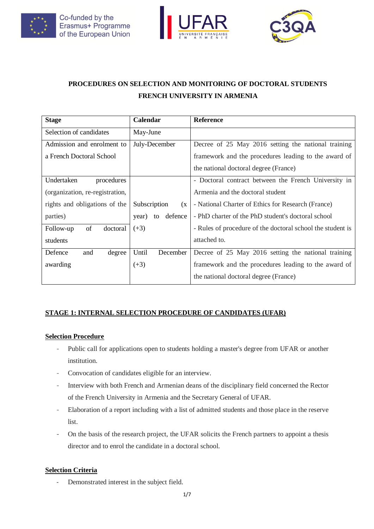





# **PROCEDURES ON SELECTION AND MONITORING OF DOCTORAL STUDENTS FRENCH UNIVERSITY IN ARMENIA**

| <b>Stage</b>                    | Calendar               | <b>Reference</b>                                           |
|---------------------------------|------------------------|------------------------------------------------------------|
| Selection of candidates         | May-June               |                                                            |
| Admission and enrolment to      | July-December          | Decree of 25 May 2016 setting the national training        |
| a French Doctoral School        |                        | framework and the procedures leading to the award of       |
|                                 |                        | the national doctoral degree (France)                      |
| Undertaken<br>procedures        |                        | - Doctoral contract between the French University in       |
| (organization, re-registration, |                        | Armenia and the doctoral student                           |
| rights and obligations of the   | Subscription<br>(x)    | - National Charter of Ethics for Research (France)         |
| parties)                        | defence<br>year)<br>to | - PhD charter of the PhD student's doctoral school         |
| of<br>doctoral<br>Follow-up     | $(+3)$                 | - Rules of procedure of the doctoral school the student is |
| students                        |                        | attached to.                                               |
| Defence<br>and<br>degree        | Until<br>December      | Decree of 25 May 2016 setting the national training        |
| awarding                        | $(+3)$                 | framework and the procedures leading to the award of       |
|                                 |                        | the national doctoral degree (France)                      |

# **STAGE 1: INTERNAL SELECTION PROCEDURE OF CANDIDATES (UFAR)**

## **Selection Procedure**

- Public call for applications open to students holding a master's degree from UFAR or another institution.
- Convocation of candidates eligible for an interview.
- Interview with both French and Armenian deans of the disciplinary field concerned the Rector of the French University in Armenia and the Secretary General of UFAR.
- Elaboration of a report including with a list of admitted students and those place in the reserve list.
- On the basis of the research project, the UFAR solicits the French partners to appoint a thesis director and to enrol the candidate in a doctoral school.

## **Selection Criteria**

Demonstrated interest in the subject field.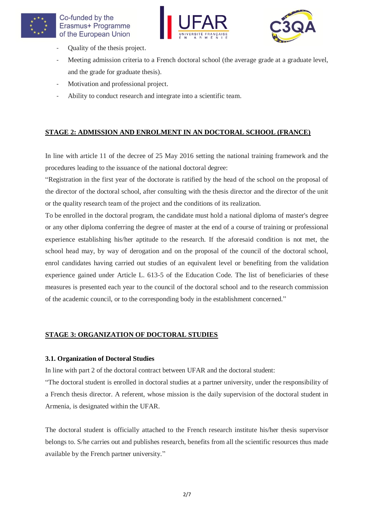





- Quality of the thesis project.
- Meeting admission criteria to a French doctoral school (the average grade at a graduate level, and the grade for graduate thesis).
- Motivation and professional project.
- Ability to conduct research and integrate into a scientific team.

# **STAGE 2: ADMISSION AND ENROLMENT IN AN DOCTORAL SCHOOL (FRANCE)**

In line with article 11 of the decree of 25 May 2016 setting the national training framework and the procedures leading to the issuance of the national doctoral degree:

"Registration in the first year of the doctorate is ratified by the head of the school on the proposal of the director of the doctoral school, after consulting with the thesis director and the director of the unit or the quality research team of the project and the conditions of its realization.

To be enrolled in the doctoral program, the candidate must hold a national diploma of master's degree or any other diploma conferring the degree of master at the end of a course of training or professional experience establishing his/her aptitude to the research. If the aforesaid condition is not met, the school head may, by way of derogation and on the proposal of the council of the doctoral school, enrol candidates having carried out studies of an equivalent level or benefiting from the validation experience gained under Article L. 613-5 of the Education Code. The list of beneficiaries of these measures is presented each year to the council of the doctoral school and to the research commission of the academic council, or to the corresponding body in the establishment concerned."

## **STAGE 3: ORGANIZATION OF DOCTORAL STUDIES**

#### **3.1. Organization of Doctoral Studies**

In line with part 2 of the doctoral contract between UFAR and the doctoral student:

"The doctoral student is enrolled in doctoral studies at a partner university, under the responsibility of a French thesis director. A referent, whose mission is the daily supervision of the doctoral student in Armenia, is designated within the UFAR.

The doctoral student is officially attached to the French research institute his/her thesis supervisor belongs to. S/he carries out and publishes research, benefits from all the scientific resources thus made available by the French partner university."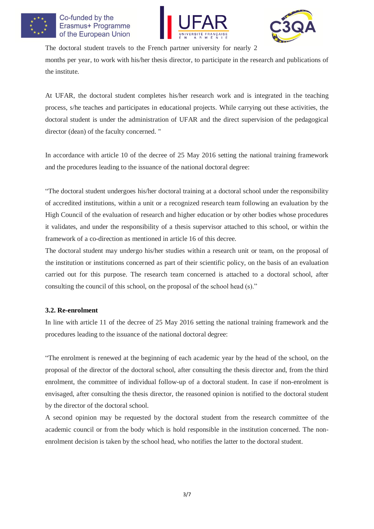

### Co-funded by the Erasmus+ Programme of the European Union





The doctoral student travels to the French partner university for nearly 2

months per year, to work with his/her thesis director, to participate in the research and publications of the institute.

At UFAR, the doctoral student completes his/her research work and is integrated in the teaching process, s/he teaches and participates in educational projects. While carrying out these activities, the doctoral student is under the administration of UFAR and the direct supervision of the pedagogical director (dean) of the faculty concerned. "

In accordance with article 10 of the decree of 25 May 2016 setting the national training framework and the procedures leading to the issuance of the national doctoral degree:

"The doctoral student undergoes his/her doctoral training at a doctoral school under the responsibility of accredited institutions, within a unit or a recognized research team following an evaluation by the High Council of the evaluation of research and higher education or by other bodies whose procedures it validates, and under the responsibility of a thesis supervisor attached to this school, or within the framework of a co-direction as mentioned in article 16 of this decree.

The doctoral student may undergo his/her studies within a research unit or team, on the proposal of the institution or institutions concerned as part of their scientific policy, on the basis of an evaluation carried out for this purpose. The research team concerned is attached to a doctoral school, after consulting the council of this school, on the proposal of the school head (s)."

#### **3.2. Re-enrolment**

In line with article 11 of the decree of 25 May 2016 setting the national training framework and the procedures leading to the issuance of the national doctoral degree:

"The enrolment is renewed at the beginning of each academic year by the head of the school, on the proposal of the director of the doctoral school, after consulting the thesis director and, from the third enrolment, the committee of individual follow-up of a doctoral student. In case if non-enrolment is envisaged, after consulting the thesis director, the reasoned opinion is notified to the doctoral student by the director of the doctoral school.

A second opinion may be requested by the doctoral student from the research committee of the academic council or from the body which is hold responsible in the institution concerned. The nonenrolment decision is taken by the school head, who notifies the latter to the doctoral student.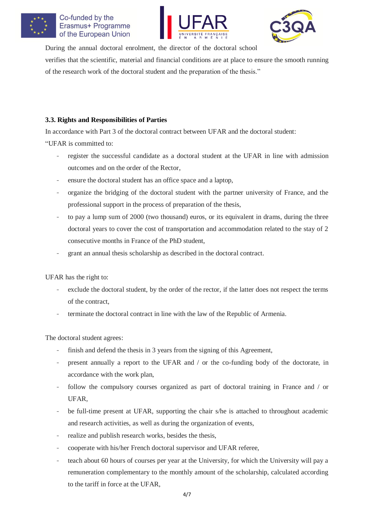





During the annual doctoral enrolment, the director of the doctoral school verifies that the scientific, material and financial conditions are at place to ensure the smooth running of the research work of the doctoral student and the preparation of the thesis."

### **3.3. Rights and Responsibilities of Parties**

In accordance with Part 3 of the doctoral contract between UFAR and the doctoral student:

"UFAR is committed to:

- register the successful candidate as a doctoral student at the UFAR in line with admission outcomes and on the order of the Rector,
- ensure the doctoral student has an office space and a laptop,
- organize the bridging of the doctoral student with the partner university of France, and the professional support in the process of preparation of the thesis,
- to pay a lump sum of 2000 (two thousand) euros, or its equivalent in drams, during the three doctoral years to cover the cost of transportation and accommodation related to the stay of 2 consecutive months in France of the PhD student,
- grant an annual thesis scholarship as described in the doctoral contract.

UFAR has the right to:

- exclude the doctoral student, by the order of the rector, if the latter does not respect the terms of the contract,
- terminate the doctoral contract in line with the law of the Republic of Armenia.

The doctoral student agrees:

- finish and defend the thesis in 3 years from the signing of this Agreement,
- present annually a report to the UFAR and / or the co-funding body of the doctorate, in accordance with the work plan,
- follow the compulsory courses organized as part of doctoral training in France and / or UFAR,
- be full-time present at UFAR, supporting the chair s/he is attached to throughout academic and research activities, as well as during the organization of events,
- realize and publish research works, besides the thesis,
- cooperate with his/her French doctoral supervisor and UFAR referee,
- teach about 60 hours of courses per year at the University, for which the University will pay a remuneration complementary to the monthly amount of the scholarship, calculated according to the tariff in force at the UFAR,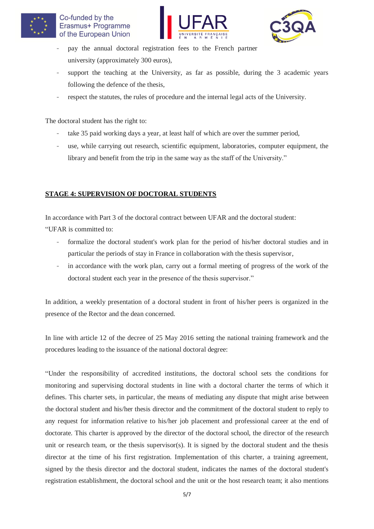





- pay the annual doctoral registration fees to the French partner university (approximately 300 euros),
- support the teaching at the University, as far as possible, during the 3 academic years following the defence of the thesis,
- respect the statutes, the rules of procedure and the internal legal acts of the University.

The doctoral student has the right to:

- take 35 paid working days a year, at least half of which are over the summer period,
- use, while carrying out research, scientific equipment, laboratories, computer equipment, the library and benefit from the trip in the same way as the staff of the University."

# **STAGE 4: SUPERVISION OF DOCTORAL STUDENTS**

In accordance with Part 3 of the doctoral contract between UFAR and the doctoral student:

"UFAR is committed to:

- formalize the doctoral student's work plan for the period of his/her doctoral studies and in particular the periods of stay in France in collaboration with the thesis supervisor,
- in accordance with the work plan, carry out a formal meeting of progress of the work of the doctoral student each year in the presence of the thesis supervisor."

In addition, a weekly presentation of a doctoral student in front of his/her peers is organized in the presence of the Rector and the dean concerned.

In line with article 12 of the decree of 25 May 2016 setting the national training framework and the procedures leading to the issuance of the national doctoral degree:

"Under the responsibility of accredited institutions, the doctoral school sets the conditions for monitoring and supervising doctoral students in line with a doctoral charter the terms of which it defines. This charter sets, in particular, the means of mediating any dispute that might arise between the doctoral student and his/her thesis director and the commitment of the doctoral student to reply to any request for information relative to his/her job placement and professional career at the end of doctorate. This charter is approved by the director of the doctoral school, the director of the research unit or research team, or the thesis supervisor(s). It is signed by the doctoral student and the thesis director at the time of his first registration. Implementation of this charter, a training agreement, signed by the thesis director and the doctoral student, indicates the names of the doctoral student's registration establishment, the doctoral school and the unit or the host research team; it also mentions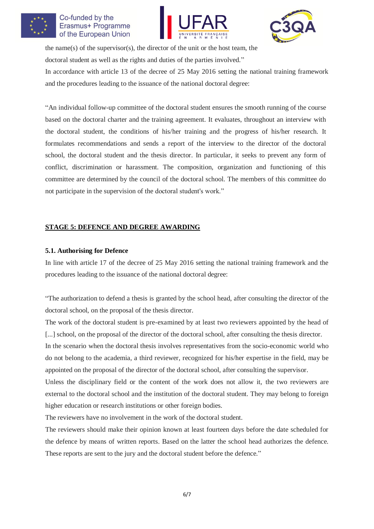

#### Co-funded by the Erasmus+ Programme of the European Union





the name(s) of the supervisor(s), the director of the unit or the host team, the doctoral student as well as the rights and duties of the parties involved."

In accordance with article 13 of the decree of 25 May 2016 setting the national training framework and the procedures leading to the issuance of the national doctoral degree:

"An individual follow-up committee of the doctoral student ensures the smooth running of the course based on the doctoral charter and the training agreement. It evaluates, throughout an interview with the doctoral student, the conditions of his/her training and the progress of his/her research. It formulates recommendations and sends a report of the interview to the director of the doctoral school, the doctoral student and the thesis director. In particular, it seeks to prevent any form of conflict, discrimination or harassment. The composition, organization and functioning of this committee are determined by the council of the doctoral school. The members of this committee do not participate in the supervision of the doctoral student's work."

# **STAGE 5: DEFENCE AND DEGREE AWARDING**

### **5.1. Authorising for Defence**

In line with article 17 of the decree of 25 May 2016 setting the national training framework and the procedures leading to the issuance of the national doctoral degree:

"The authorization to defend a thesis is granted by the school head, after consulting the director of the doctoral school, on the proposal of the thesis director.

The work of the doctoral student is pre-examined by at least two reviewers appointed by the head of [...] school, on the proposal of the director of the doctoral school, after consulting the thesis director.

In the scenario when the doctoral thesis involves representatives from the socio-economic world who do not belong to the academia, a third reviewer, recognized for his/her expertise in the field, may be appointed on the proposal of the director of the doctoral school, after consulting the supervisor.

Unless the disciplinary field or the content of the work does not allow it, the two reviewers are external to the doctoral school and the institution of the doctoral student. They may belong to foreign higher education or research institutions or other foreign bodies.

The reviewers have no involvement in the work of the doctoral student.

The reviewers should make their opinion known at least fourteen days before the date scheduled for the defence by means of written reports. Based on the latter the school head authorizes the defence. These reports are sent to the jury and the doctoral student before the defence."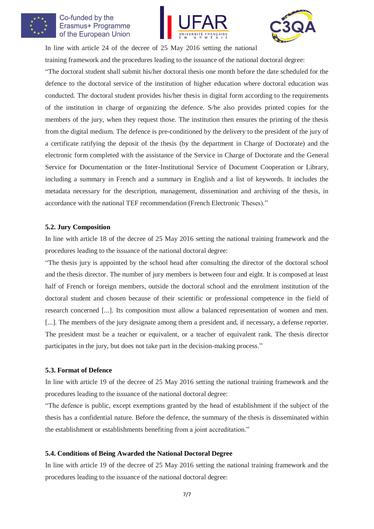

### Co-funded by the Erasmus+ Programme of the European Union





In line with article 24 of the decree of 25 May 2016 setting the national training framework and the procedures leading to the issuance of the national doctoral degree:

"The doctoral student shall submit his/her doctoral thesis one month before the date scheduled for the defence to the doctoral service of the institution of higher education where doctoral education was conducted. The doctoral student provides his/her thesis in digital form according to the requirements of the institution in charge of organizing the defence. S/he also provides printed copies for the members of the jury, when they request those. The institution then ensures the printing of the thesis from the digital medium. The defence is pre-conditioned by the delivery to the president of the jury of a certificate ratifying the deposit of the thesis (by the department in Charge of Doctorate) and the electronic form completed with the assistance of the Service in Charge of Doctorate and the General Service for Documentation or the Inter-Institutional Service of Document Cooperation or Library, including a summary in French and a summary in English and a list of keywords. It includes the metadata necessary for the description, management, dissemination and archiving of the thesis, in accordance with the national TEF recommendation (French Electronic Theses)."

#### **5.2. Jury Composition**

In line with article 18 of the decree of 25 May 2016 setting the national training framework and the procedures leading to the issuance of the national doctoral degree:

"The thesis jury is appointed by the school head after consulting the director of the doctoral school and the thesis director. The number of jury members is between four and eight. It is composed at least half of French or foreign members, outside the doctoral school and the enrolment institution of the doctoral student and chosen because of their scientific or professional competence in the field of research concerned [...]. Its composition must allow a balanced representation of women and men. [...]. The members of the jury designate among them a president and, if necessary, a defense reporter. The president must be a teacher or equivalent, or a teacher of equivalent rank. The thesis director participates in the jury, but does not take part in the decision-making process."

#### **5.3. Format of Defence**

In line with article 19 of the decree of 25 May 2016 setting the national training framework and the procedures leading to the issuance of the national doctoral degree:

"The defence is public, except exemptions granted by the head of establishment if the subject of the thesis has a confidential nature. Before the defence, the summary of the thesis is disseminated within the establishment or establishments benefiting from a joint accreditation."

#### **5.4. Conditions of Being Awarded the National Doctoral Degree**

In line with article 19 of the decree of 25 May 2016 setting the national training framework and the procedures leading to the issuance of the national doctoral degree: